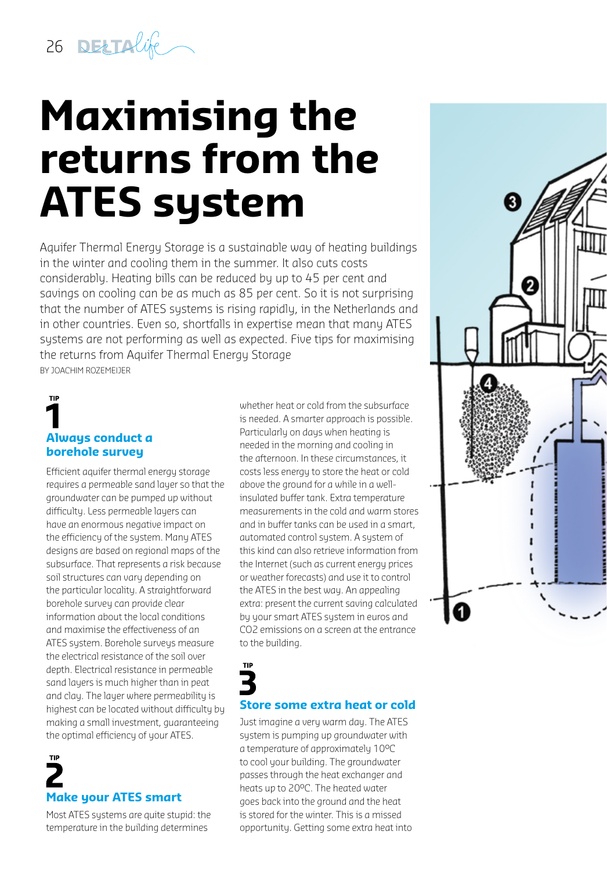26 DELINGE

## **Maximising the returns from the ATES system**

Aquifer Thermal Energy Storage is a sustainable way of heating buildings in the winter and cooling them in the summer. It also cuts costs considerably. Heating bills can be reduced by up to 45 per cent and savings on cooling can be as much as 85 per cent. So it is not surprising that the number of ATES systems is rising rapidly, in the Netherlands and in other countries. Even so, shortfalls in expertise mean that many ATES systems are not performing as well as expected. Five tips for maximising the returns from Aquifer Thermal Energy Storage BY JOACHIM ROZEMEIJER

## **Always conduct a borehole survey**

**TIP** 

Efficient aquifer thermal energy storage requires a permeable sand layer so that the groundwater can be pumped up without difficulty. Less permeable layers can have an enormous negative impact on the efficiency of the system. Many ATES designs are based on regional maps of the subsurface. That represents a risk because soil structures can vary depending on the particular locality. A straightforward borehole survey can provide clear information about the local conditions and maximise the effectiveness of an ATES system. Borehole surveys measure the electrical resistance of the soil over depth. Electrical resistance in permeable sand layers is much higher than in peat and clay. The layer where permeability is highest can be located without difficulty by making a small investment, guaranteeing the optimal efficiency of your ATES.

# **Make your ATES smart**

Most ATES systems are quite stupid: the temperature in the building determines

whether heat or cold from the subsurface is needed. A smarter approach is possible. Particularly on days when heating is needed in the morning and cooling in the afternoon. In these circumstances, it costs less energy to store the heat or cold above the ground for a while in a wellinsulated buffer tank. Extra temperature measurements in the cold and warm stores and in buffer tanks can be used in a smart, automated control system. A system of this kind can also retrieve information from the Internet (such as current energy prices or weather forecasts) and use it to control the ATES in the best way. An appealing extra: present the current saving calculated by your smart ATES system in euros and CO2 emissions on a screen at the entrance to the building.

#### **Store some extra heat or cold**

Just imagine a very warm day. The ATES system is pumping up groundwater with a temperature of approximately 10°C to cool your building. The groundwater passes through the heat exchanger and heats up to 20°C. The heated water goes back into the ground and the heat is stored for the winter. This is a missed opportunity. Getting some extra heat into